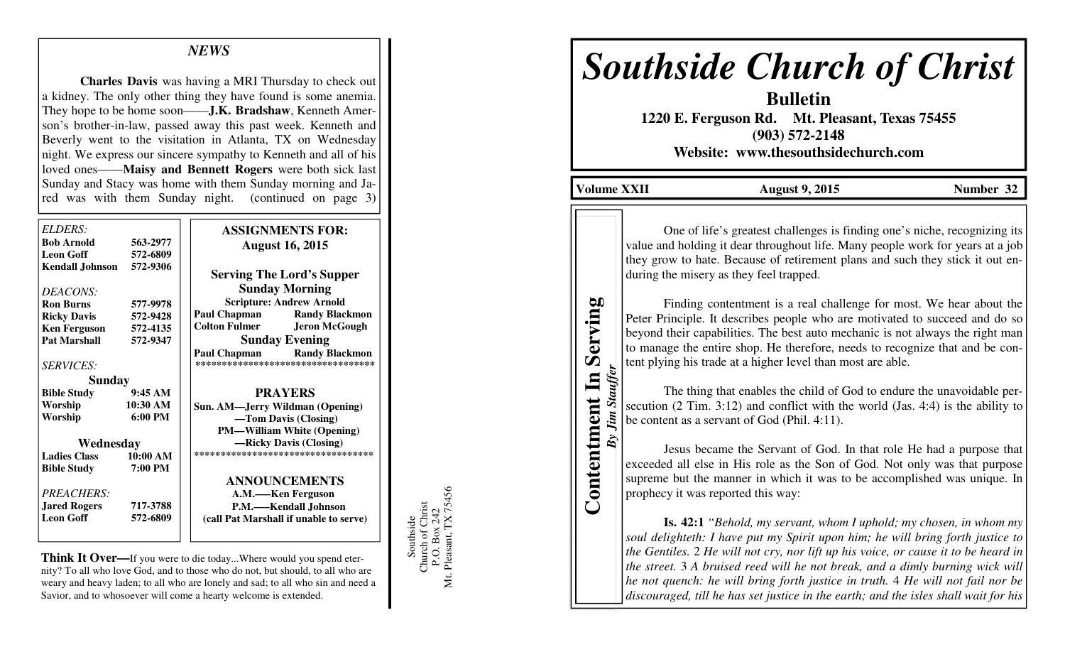## *NEWS*

**Charles Davis** was having a MRI Thursday to check out a kidney. The only other thing they have found is some anemia. They hope to be home soon——**J.K. Bradshaw**, Kenneth Amerson's brother-in-law, passed away this past week. Kenneth and Beverly went to the visitation in Atlanta, TX on Wednesday night. We express our sincere sympathy to Kenneth and all of his loved ones——**Maisy and Bennett Rogers** were both sick last Sunday and Stacy was home with them Sunday morning and Jared was with them Sunday night. (continued on page 3)

| ELDERS                 |                   | <b>ASSIGNMENTS FOR:</b>                                                     |
|------------------------|-------------------|-----------------------------------------------------------------------------|
| <b>Bob Arnold</b>      | 563-2977          | <b>August 16, 2015</b>                                                      |
| <b>Leon Goff</b>       | 572-6809          |                                                                             |
| <b>Kendall Johnson</b> | 572-9306          | <b>Serving The Lord's Supper</b>                                            |
| DEACONS:               |                   | <b>Sunday Morning</b>                                                       |
| <b>Ron Burns</b>       | 577-9978          | <b>Scripture: Andrew Arnold</b>                                             |
| <b>Ricky Davis</b>     | 572-9428          | Paul Chapman<br><b>Randy Blackmon</b>                                       |
| <b>Ken Ferguson</b>    | 572-4135          | <b>Colton Fulmer</b><br><b>Jeron McGough</b>                                |
| <b>Pat Marshall</b>    | 572-9347          | <b>Sunday Evening</b>                                                       |
| <b>SERVICES:</b>       |                   | Paul Chapman<br><b>Randy Blackmon</b><br>********************************** |
| <b>Sunday</b>          |                   |                                                                             |
| <b>Bible Study</b>     | 9:45AM            | <b>PRAYERS</b>                                                              |
| Worship                | 10:30 AM          | Sun. AM—Jerry Wildman (Opening)                                             |
| Worship                | $6:00 \text{ PM}$ | —Tom Davis (Closing)                                                        |
|                        |                   | <b>PM—William White (Opening)</b>                                           |
| Wednesday              |                   | -Ricky Davis (Closing)                                                      |
| <b>Ladies Class</b>    | 10:00 AM          | ***********************************                                         |
| <b>Bible Study</b>     | 7:00 PM           |                                                                             |
|                        |                   | <b>ANNOUNCEMENTS</b>                                                        |
| PREACHERS:             |                   | A.M.—–Ken Ferguson                                                          |
| <b>Jared Rogers</b>    | 717-3788          | P.M.-Kendall Johnson                                                        |
| <b>Leon Goff</b>       | 572-6809          | (call Pat Marshall if unable to serve)                                      |
|                        |                   |                                                                             |
|                        |                   |                                                                             |

**Think It Over—**If you were to die today...Where would you spend eternity? To all who love God, and to those who do not, but should, to all who are weary and heavy laden; to all who are lonely and sad; to all who sin and need a Savior, and to whosoever will come a hearty welcome is extended.

Southside<br>Church of Christ<br>P.O. Box 242<br>Mt. Pleasant, TX 75456 Mt. Pleasant, TX 75456 Church of Christ P.O. Box 242 Southside

# *Southside Church of Christ*

**Bulletin 1220 E. Ferguson Rd. Mt. Pleasant, Texas 75455 (903) 572-2148 Website: www.thesouthsidechurch.com** 

**Volume XXII August 9, 2015 Number 32** 

**Contentment In Serving**  *By Jim Stauffer*

Contentment In

By Jim Stauffer

Serving

One of life's greatest challenges is finding one's niche, recognizing its value and holding it dear throughout life. Many people work for years at a job they grow to hate. Because of retirement plans and such they stick it out enduring the misery as they feel trapped.

 Finding contentment is a real challenge for most. We hear about the Peter Principle. It describes people who are motivated to succeed and do so beyond their capabilities. The best auto mechanic is not always the right man to manage the entire shop. He therefore, needs to recognize that and be content plying his trade at a higher level than most are able.

 The thing that enables the child of God to endure the unavoidable persecution (2 Tim. 3:12) and conflict with the world (Jas. 4:4) is the ability to be content as a servant of God (Phil. 4:11).

 Jesus became the Servant of God. In that role He had a purpose that exceeded all else in His role as the Son of God. Not only was that purpose supreme but the manner in which it was to be accomplished was unique. In prophecy it was reported this way:

**Is. 42:1** *"Behold, my servant, whom I uphold; my chosen, in whom my soul delighteth: I have put my Spirit upon him; he will bring forth justice to the Gentiles.* 2 *He will not cry, nor lift up his voice, or cause it to be heard in the street.* 3 *A bruised reed will he not break, and a dimly burning wick will he not quench: he will bring forth justice in truth.* 4 *He will not fail nor be discouraged, till he has set justice in the earth; and the isles shall wait for his*